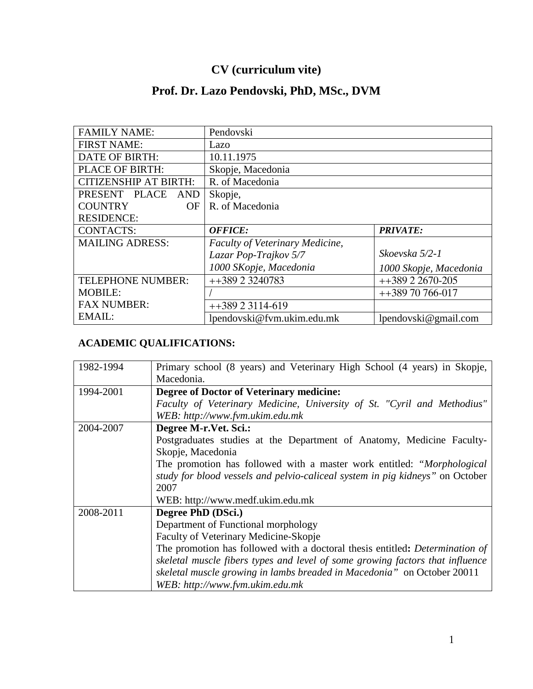# **CV (curriculum vite)**

# **Prof. Dr. Lazo Pendovski, PhD, MSc., DVM**

| <b>FAMILY NAME:</b>          | Pendovski                       |                        |  |
|------------------------------|---------------------------------|------------------------|--|
| <b>FIRST NAME:</b>           | Lazo                            |                        |  |
| <b>DATE OF BIRTH:</b>        | 10.11.1975                      |                        |  |
| PLACE OF BIRTH:              | Skopje, Macedonia               |                        |  |
| <b>CITIZENSHIP AT BIRTH:</b> | R. of Macedonia                 |                        |  |
| PRESENT PLACE<br>AND         | Skopje,                         |                        |  |
| <b>COUNTRY</b><br><b>OF</b>  | R. of Macedonia                 |                        |  |
| <b>RESIDENCE:</b>            |                                 |                        |  |
| <b>CONTACTS:</b>             | <b>OFFICE:</b>                  | <b>PRIVATE:</b>        |  |
| <b>MAILING ADRESS:</b>       | Faculty of Veterinary Medicine, |                        |  |
|                              | Lazar Pop-Trajkov 5/7           | Skoevska 5/2-1         |  |
|                              | 1000 SKopje, Macedonia          | 1000 Skopje, Macedonia |  |
| <b>TELEPHONE NUMBER:</b>     | $++38923240783$                 | $+138922670-205$       |  |
| <b>MOBILE:</b>               |                                 | $++38970766-017$       |  |
| <b>FAX NUMBER:</b>           | $++38923114-619$                |                        |  |
| EMAIL:                       | lpendovski@fvm.ukim.edu.mk      | lpendovski@gmail.com   |  |

# **ACADEMIC QUALIFICATIONS:**

| 1982-1994 | Primary school (8 years) and Veterinary High School (4 years) in Skopje,            |  |  |
|-----------|-------------------------------------------------------------------------------------|--|--|
|           | Macedonia.                                                                          |  |  |
| 1994-2001 | <b>Degree of Doctor of Veterinary medicine:</b>                                     |  |  |
|           | Faculty of Veterinary Medicine, University of St. "Cyril and Methodius"             |  |  |
|           | WEB: http://www.fvm.ukim.edu.mk                                                     |  |  |
| 2004-2007 | Degree M-r.Vet. Sci.:                                                               |  |  |
|           | Postgraduates studies at the Department of Anatomy, Medicine Faculty-               |  |  |
|           | Skopje, Macedonia                                                                   |  |  |
|           | The promotion has followed with a master work entitled: "Morphological"             |  |  |
|           | study for blood vessels and pelvio-caliceal system in pig kidneys" on October       |  |  |
|           | 2007                                                                                |  |  |
|           | WEB: http://www.medf.ukim.edu.mk                                                    |  |  |
| 2008-2011 | Degree PhD (DSci.)                                                                  |  |  |
|           | Department of Functional morphology                                                 |  |  |
|           | Faculty of Veterinary Medicine-Skopje                                               |  |  |
|           | The promotion has followed with a doctoral thesis entitled: <i>Determination of</i> |  |  |
|           | skeletal muscle fibers types and level of some growing factors that influence       |  |  |
|           | skeletal muscle growing in lambs breaded in Macedonia" on October 20011             |  |  |
|           | WEB: http://www.fvm.ukim.edu.mk                                                     |  |  |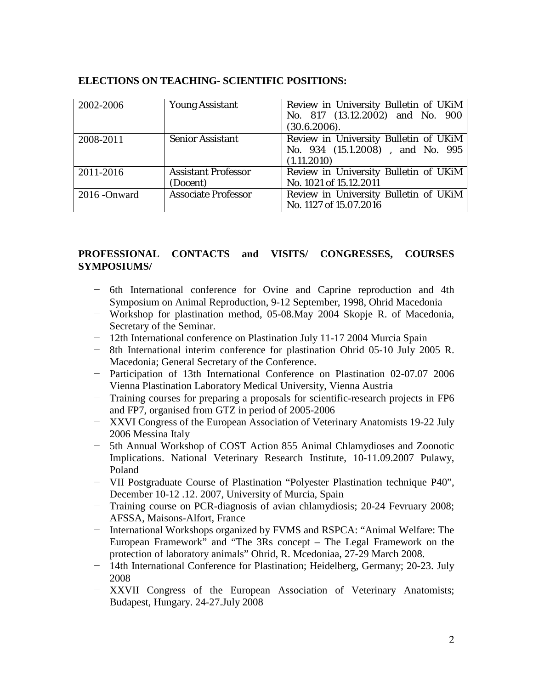### **ELECTIONS ON TEACHING- SCIENTIFIC POSITIONS:**

| 2002-2006     | <b>Young Assistant</b>                 | Review in University Bulletin of UKiM<br>No. 817 (13.12.2002) and No. 900<br>(30.6.2006). |
|---------------|----------------------------------------|-------------------------------------------------------------------------------------------|
| 2008-2011     | <b>Senior Assistant</b>                | Review in University Bulletin of UKiM<br>No. 934 (15.1.2008), and No. 995<br>(1.11.2010)  |
| 2011-2016     | <b>Assistant Professor</b><br>(Docent) | Review in University Bulletin of UKiM<br>No. 1021 of 15.12.2011                           |
| 2016 - Onward | <b>Associate Professor</b>             | Review in University Bulletin of UKiM<br>No. 1127 of 15.07.2016                           |

### **PROFESSIONAL CONTACTS and VISITS/ CONGRESSES, COURSES SYMPOSIUMS/**

- − 6th International conference for Ovine and Caprine reproduction and 4th Symposium on Animal Reproduction, 9-12 September, 1998, Ohrid Macedonia
- − Workshop for plastination method, 05-08.May 2004 Skopje R. of Macedonia, Secretary of the Seminar.
- − 12th International conference on Plastination July 11-17 2004 Murcia Spain
- − 8th International interim conference for plastination Ohrid 05-10 July 2005 R. Macedonia; General Secretary of the Conference.
- − Participation of 13th International Conference on Plastination 02-07.07 2006 Vienna Plastination Laboratory Medical University, Vienna Austria
- − Training courses for preparing a proposals for scientific-research projects in FP6 and FP7, organised from GTZ in period of 2005-2006
- − XXVI Congress of the European Association of Veterinary Anatomists 19-22 July 2006 Messina Italy
- − 5th Annual Workshop of COST Action 855 Animal Chlamydioses and Zoonotic Implications. National Veterinary Research Institute, 10-11.09.2007 Pulawy, Poland
- − VII Postgraduate Course of Plastination "Polyester Plastination technique P40", December 10-12 .12. 2007, University of Murcia, Spain
- − Training course on PCR-diagnosis of avian chlamydiosis; 20-24 Fevruary 2008; AFSSA, Maisons-Alfort, France
- − International Workshops organized by FVMS and RSPCA: "Animal Welfare: The European Framework" and "The 3Rs concept – The Legal Framework on the protection of laboratory animals" Ohrid, R. Mcedoniaa, 27-29 March 2008.
- − 14th International Conference for Plastination; Heidelberg, Germany; 20-23. July 2008
- − XXVII Congress of the European Association of Veterinary Anatomists; Budapest, Hungary. 24-27.July 2008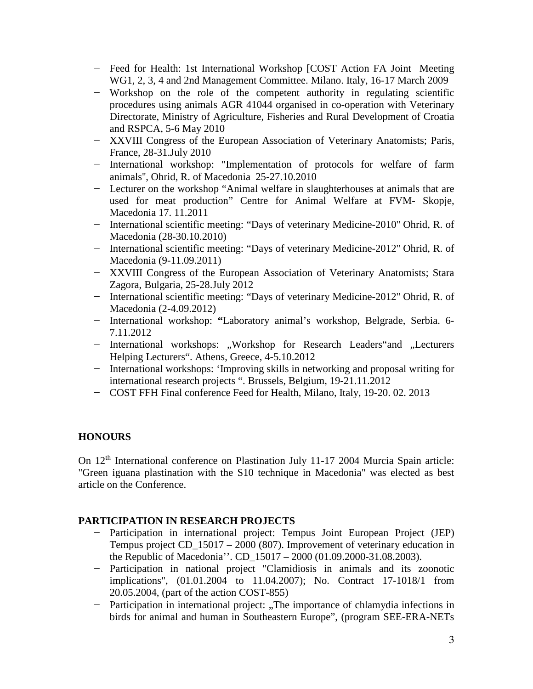- − Feed for Health: 1st International Workshop [COST Action FA Joint Meeting WG1, 2, 3, 4 and 2nd Management Committee. Milano. Italy, 16-17 March 2009
- − Workshop on the role of the competent authority in regulating scientific procedures using animals AGR 41044 organised in co-operation with Veterinary Directorate, Ministry of Agriculture, Fisheries and Rural Development of Croatia and RSPCA, 5-6 May 2010
- − XXVIII Congress of the European Association of Veterinary Anatomists; Paris, France, 28-31.July 2010
- − International workshop: "Implementation of protocols for welfare of farm animals'', Ohrid, R. of Macedonia 25-27.10.2010
- − Lecturer on the workshop "Animal welfare in slaughterhouses at animals that are used for meat production" Centre for Animal Welfare at FVM- Skopje, Macedonia 17. 11.2011
- − International scientific meeting: "Days of veterinary Medicine-2010'' Ohrid, R. of Macedonia (28-30.10.2010)
- − International scientific meeting: "Days of veterinary Medicine-2012'' Ohrid, R. of Macedonia (9-11.09.2011)
- − XXVIII Congress of the European Association of Veterinary Anatomists; Stara Zagora, Bulgaria, 25-28.July 2012
- − International scientific meeting: "Days of veterinary Medicine-2012'' Ohrid, R. of Macedonia (2-4.09.2012)
- − International workshop: **"**Laboratory animal's workshop, Belgrade, Serbia. 6- 7.11.2012
- − International workshops: "Workshop for Research Leaders"and "Lecturers Helping Lecturers". Athens, Greece, 4-5.10.2012
- − International workshops: 'Improving skills in networking and proposal writing for international research projects ". Brussels, Belgium, 19-21.11.2012
- − COST FFH Final conference Feed for Health, Milano, Italy, 19-20. 02. 2013

## **HONOURS**

On 12<sup>th</sup> International conference on Plastination July 11-17 2004 Murcia Spain article: "Green iguana plastination with the S10 technique in Macedonia" was elected as best article on the Conference.

### **PARTICIPATION IN RESEARCH PROJECTS**

- − Participation in international project: Tempus Joint European Project (JEP) Tempus project CD\_15017 – 2000 (807). Improvement of veterinary education in the Republic of Macedonia''. CD\_15017 – 2000 (01.09.2000-31.08.2003).
- − Participation in national project "Clamidiosis in animals and its zoonotic implications", (01.01.2004 to 11.04.2007); No. Contract 17-1018/1 from 20.05.2004, (part of the action COST-855)
- − Participation in international project: "The importance of chlamydia infections in birds for animal and human in Southeastern Europe", (program SEE-ERA-NETs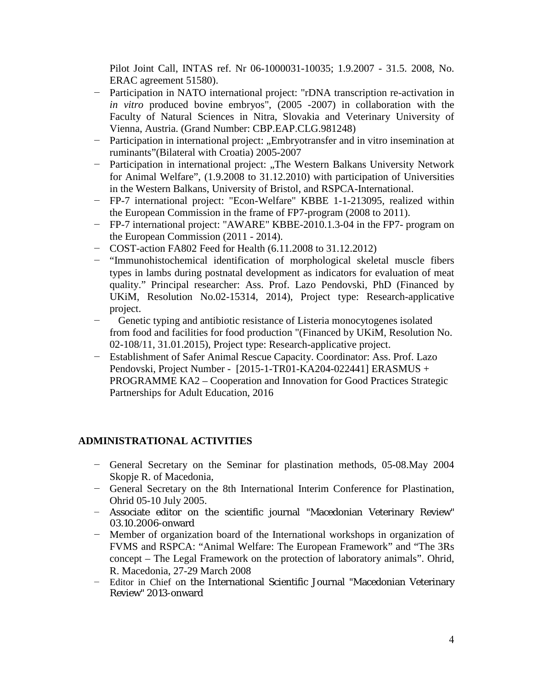Pilot Joint Call, INTAS ref. Nr 06-1000031-10035; 1.9.2007 - 31.5. 2008, No. ERAC agreement 51580).

- Participation in NATO international project: "rDNA transcription re-activation in *in vitro* produced bovine embryos", (2005 -2007) in collaboration with the Faculty of Natural Sciences in Nitra, Slovakia and Veterinary University of Vienna, Austria. (Grand Number: CBP.EAP.CLG.981248)
- − Participation in international project: "Embryotransfer and in vitro insemination at ruminants"(Bilateral with Croatia) 2005-2007
- − Participation in international project: "The Western Balkans University Network for Animal Welfare", (1.9.2008 to 31.12.2010) with participation of Universities in the Western Balkans, University of Bristol, and RSPCA-International.
- − FP-7 international project: "Econ-Welfare" KBBE 1-1-213095, realized within the European Commission in the frame of FP7-program (2008 to 2011).
- − FP-7 international project: "AWARE" KBBE-2010.1.3-04 in the FP7- program on the European Commission (2011 - 2014).
- − COST-action FA802 Feed for Health (6.11.2008 to 31.12.2012)
- − "Immunohistochemical identification of morphological skeletal muscle fibers types in lambs during postnatal development as indicators for evaluation of meat quality." Principal researcher: Ass. Prof. Lazo Pendovski, PhD (Financed by UKiM, Resolution No.02-15314, 2014), Project type: Research-applicative project.
- Genetic typing and antibiotic resistance of Listeria monocytogenes isolated from food and facilities for food production "(Financed by UKiM, Resolution No. 02-108/11, 31.01.2015), Project type: Research-applicative project.
- − Establishment of Safer Animal Rescue Capacity. Coordinator: Ass. Prof. Lazo Pendovski, Project Number - [2015-1-TR01-KA204-022441] ERASMUS + PROGRAMME KA2 – Cooperation and Innovation for Good Practices Strategic Partnerships for Adult Education, 2016

### **ADMINISTRATIONAL ACTIVITIES**

- − General Secretary on the Seminar for plastination methods, 05-08.May 2004 Skopje R. of Macedonia,
- − General Secretary on the 8th International Interim Conference for Plastination, Ohrid 05-10 July 2005.
- − Associate editor on the scientific journal "Macedonian Veterinary Review" 03.10.2006-onward
- − Member of organization board of the International workshops in organization of FVMS and RSPCA: "Animal Welfare: The European Framework" and "The 3Rs concept – The Legal Framework on the protection of laboratory animals". Ohrid, R. Macedonia, 27-29 March 2008
- − Editor in Chief on the International Scientific Journal "Macedonian Veterinary Review" 2013-onward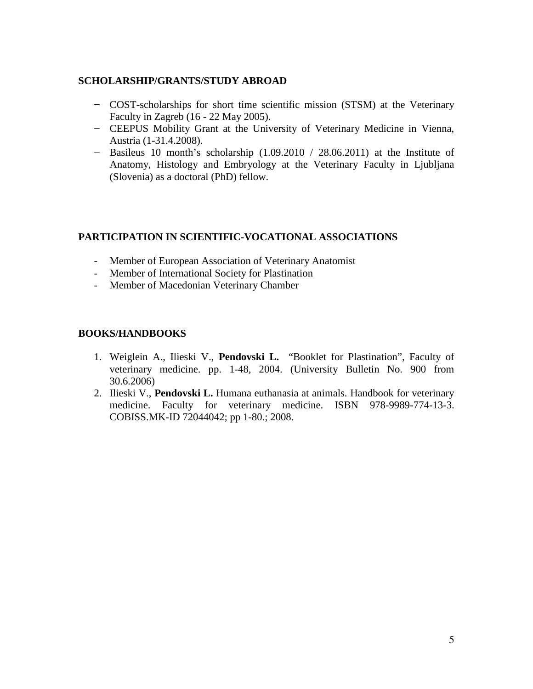#### **SCHOLARSHIP/GRANTS/STUDY ABROAD**

- − COST-scholarships for short time scientific mission (STSM) at the Veterinary Faculty in Zagreb (16 - 22 May 2005).
- − CEEPUS Mobility Grant at the University of Veterinary Medicine in Vienna, Austria (1-31.4.2008).
- − Basileus 10 month's scholarship (1.09.2010 / 28.06.2011) at the Institute of Anatomy, Histology and Embryology at the Veterinary Faculty in Ljubljana (Slovenia) as a doctoral (PhD) fellow.

#### **PARTICIPATION IN SCIENTIFIC-VOCATIONAL ASSOCIATIONS**

- Member of European Association of Veterinary Anatomist
- Member of International Society for Plastination
- Member of Macedonian Veterinary Chamber

#### **BOOKS/HANDBOOKS**

- 1. Weiglein A., Ilieski V., **Pendovski L.** "Booklet for Plastination", Faculty of veterinary medicine. pp. 1-48, 2004. (University Bulletin No. 900 from 30.6.2006)
- 2. Ilieski V., **Pendovski L.** Humana euthanasia at animals. Handbook for veterinary medicine. Faculty for veterinary medicine. ISBN 978-9989-774-13-3. COBISS.MK-ID 72044042; pp 1-80.; 2008.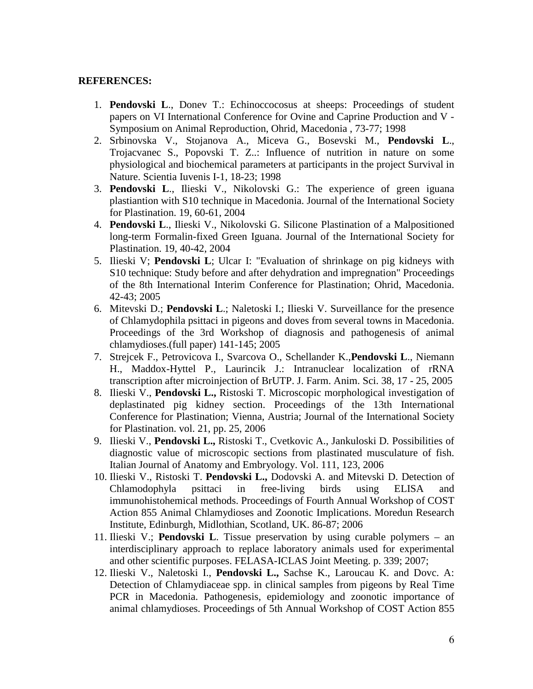#### **REFERENCES:**

- 1. **Pendovski L**., Donev T.: Echinoccocosus at sheeps: Proceedings of student papers on VI International Conference for Ovine and Caprine Production and V - Symposium on Animal Reproduction, Ohrid, Macedonia , 73-77; 1998
- 2. Srbinovska V., Stojanova A., Miceva G., Bosevski M., **Pendovski L**., Trojacvanec S., Popovski T. Z..: Influence of nutrition in nature on some physiological and biochemical parameters at participants in the project Survival in Nature. Scientia Iuvenis I-1, 18-23; 1998
- 3. **Pendovski L**., Ilieski V., Nikolovski G.: The experience of green iguana plastiantion with S10 technique in Macedonia. Journal of the International Society for Plastination. 19, 60-61, 2004
- 4. **Pendovski L**., Ilieski V., Nikolovski G. Silicone Plastination of a Malpositioned long-term Formalin-fixed Green Iguana. Journal of the International Society for Plastination. 19, 40-42, 2004
- 5. Ilieski V; **Pendovski L**; Ulcar I: "Evaluation of shrinkage on pig kidneys with S10 technique: Study before and after dehydration and impregnation" Proceedings of the 8th International Interim Conference for Plastination; Ohrid, Macedonia. 42-43; 2005
- 6. Mitevski D.; **Pendovski L**.; Naletoski I.; Ilieski V. Surveillance for the presence of Chlamydophila psittaci in pigeons and doves from several towns in Macedonia. Proceedings of the 3rd Workshop of diagnosis and pathogenesis of animal chlamydioses.(full paper) 141-145; 2005
- 7. Strejcek F., Petrovicova I., Svarcova O., Schellander K.,**Pendovski L**., Niemann H., Maddox-Hyttel P., Laurincik J.: Intranuclear localization of rRNA transcription after microinjection of BrUTP. J. Farm. Anim. Sci. 38, 17 - 25, 2005
- 8. Ilieski V., **Pendovski L.,** Ristoski T. Microscopic morphological investigation of deplastinated pig kidney section. Proceedings of the 13th International Conference for Plastination; Vienna, Austria; Journal of the International Society for Plastination. vol. 21, pp. 25, 2006
- 9. Ilieski V., **Pendovski L.,** Ristoski T., Cvetkovic A., Jankuloski D*.* Possibilities of diagnostic value of microscopic sections from plastinated musculature of fish. Italian Journal of Anatomy and Embryology. Vol. 111, 123, 2006
- 10. Ilieski V., Ristoski T. **Pendovski L.,** Dodovski A. and Mitevski D. Detection of Chlamodophyla psittaci in free-living birds using ELISA and immunohistohemical methods. Proceedings of Fourth Annual Workshop of COST Action 855 Animal Chlamydioses and Zoonotic Implications. Moredun Research Institute, Edinburgh, Midlothian, Scotland, UK. 86-87; 2006
- 11. Ilieski V.; **Pendovski L**. Tissue preservation by using curable polymers an interdisciplinary approach to replace laboratory animals used for experimental and other scientific purposes. FELASA-ICLAS Joint Meeting. p. 339; 2007;
- 12. Ilieski V., Naletoski I., **Pendovski L.,** Sachse K., Laroucau K. and Dovc. A: Detection of Chlamydiaceae spp. in clinical samples from pigeons by Real Time PCR in Macedonia. Pathogenesis, epidemiology and zoonotic importance of animal chlamydioses. Proceedings of 5th Annual Workshop of COST Action 855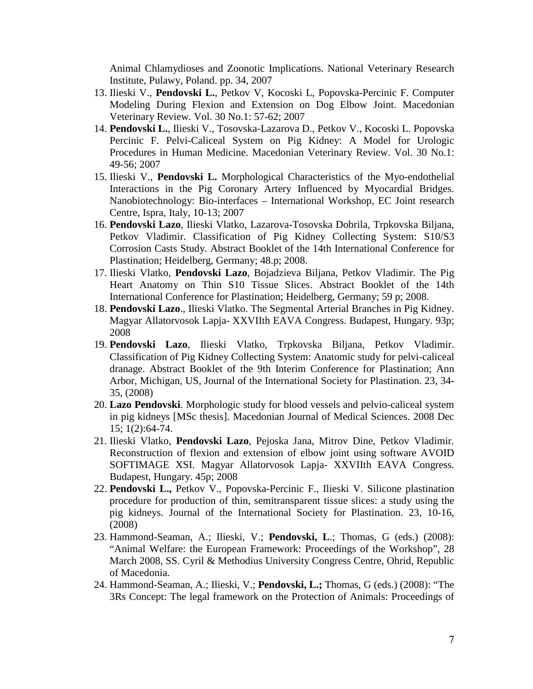Animal Chlamydioses and Zoonotic Implications. National Veterinary Research Institute, Pulawy, Poland. pp. 34, 2007

- 13. Ilieski V., **Pendovski L.**, Petkov V, Kocoski L, Popovska-Percinic F. Computer Modeling During Flexion and Extension on Dog Elbow Joint. Macedonian Veterinary Review. Vol. 30 No.1: 57-62; 2007
- 14. **Pendovski L.**, Ilieski V., Tosovska-Lazarova D., Petkov V., Kocoski L. Popovska Percinic F. Pelvi-Caliceal System on Pig Kidney: A Model for Urologic Procedures in Human Medicine. Macedonian Veterinary Review. Vol. 30 No.1: 49-56; 2007
- 15. Ilieski V., **Pendovski L.** Morphological Characteristics of the Myo-endothelial Interactions in the Pig Coronary Artery Influenced by Myocardial Bridges. Nanobiotechnology: Bio-interfaces – International Workshop, EC Joint research Centre, Ispra, Italy, 10-13; 2007
- 16. **Pendovski Lazo**, Ilieski Vlatko, Lazarova-Tosovska Dobrila, Trpkovska Biljana, Petkov Vladimir. Classification of Pig Kidney Collecting System: S10/S3 Corrosion Casts Study. Abstract Booklet of the 14th International Conference for Plastination; Heidelberg, Germany; 48.p; 2008.
- 17. Ilieski Vlatko, **Pendovski Lazo**, Bojadzieva Biljana, Petkov Vladimir. The Pig Heart Anatomy on Thin S10 Tissue Slices. Abstract Booklet of the 14th International Conference for Plastination; Heidelberg, Germany; 59 p; 2008.
- 18. **Pendovski Lazo**., Ilieski Vlatko. The Segmental Arterial Branches in Pig Kidney. Magyar Allatorvosok Lapja- XXVIIth EAVA Congress. Budapest, Hungary. 93p; 2008
- 19. **Pendovski Lazo**, Ilieski Vlatko, Trpkovska Biljana, Petkov Vladimir. Classification of Pig Kidney Collecting System: Anatomic study for pelvi-caliceal dranage. Abstract Booklet of the 9th Interim Conference for Plastination; Ann Arbor, Michigan, US, Journal of the International Society for Plastination. 23, 34- 35, (2008)
- 20. **Lazo Pendovski**. Morphologic study for blood vessels and pelvio-caliceal system in pig kidneys [MSc thesis]. Macedonian Journal of Medical Sciences. 2008 Dec 15; 1(2):64-74.
- 21. Ilieski Vlatko, **Pendovski Lazo**, Pejoska Jana, Mitrov Dine, Petkov Vladimir. Reconstruction of flexion and extension of elbow joint using software AVOID SOFTIMAGE XSI. Magyar Allatorvosok Lapja- XXVIIth EAVA Congress. Budapest, Hungary. 45p; 2008
- 22. **Pendovski L.,** Petkov V., Popovska-Percinic F., Ilieski V. Silicone plastination procedure for production of thin, semitransparent tissue slices: a study using the pig kidneys. Journal of the International Society for Plastination. 23, 10-16, (2008)
- 23. Hammond-Seaman, A.; Ilieski, V.; **Pendovski, L**.; Thomas, G (eds.) (2008): "Animal Welfare: the European Framework: Proceedings of the Workshop", 28 March 2008, SS. Cyril & Methodius University Congress Centre, Ohrid, Republic of Macedonia.
- 24. Hammond-Seaman, A.; Ilieski, V.; **Pendovski, L.;** Thomas, G (eds.) (2008): "The 3Rs Concept: The legal framework on the Protection of Animals: Proceedings of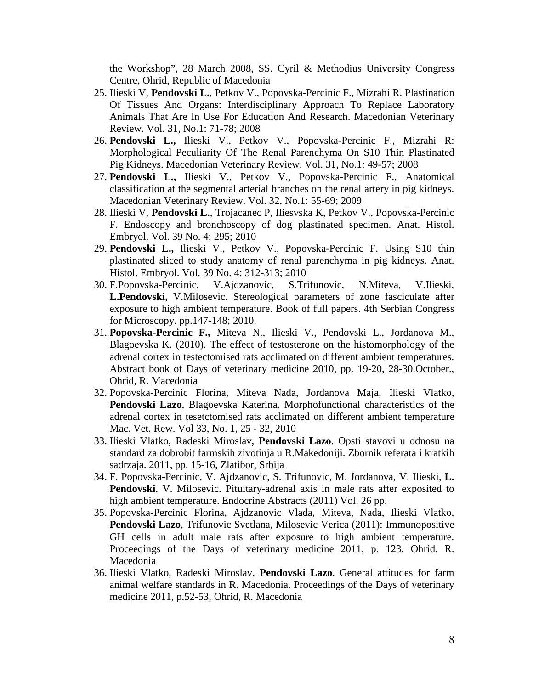the Workshop", 28 March 2008, SS. Cyril & Methodius University Congress Centre, Ohrid, Republic of Macedonia

- 25. Ilieski V, **Pendovski L.**, Petkov V., Popovska-Percinic F., Mizrahi R. Plastination Of Tissues And Organs: Interdisciplinary Approach To Replace Laboratory Animals That Are In Use For Education And Research. Macedonian Veterinary Review. Vol. 31, No.1: 71-78; 2008
- 26. **Pendovski L.,** Ilieski V., Petkov V., Popovska-Percinic F., Mizrahi R: Morphological Peculiarity Of The Renal Parenchyma On S10 Thin Plastinated Pig Kidneys. Macedonian Veterinary Review. Vol. 31, No.1: 49-57; 2008
- 27. **Pendovski L.,** Ilieski V., Petkov V., Popovska-Percinic F., Anatomical classification at the segmental arterial branches on the renal artery in pig kidneys. Macedonian Veterinary Review. Vol. 32, No.1: 55-69; 2009
- 28. Ilieski V, **Pendovski L.**, Trojacanec P, Iliesvska K, Petkov V., Popovska-Percinic F. Endoscopy and bronchoscopy of dog plastinated specimen. Anat. Histol. Embryol. Vol. 39 No. 4: 295; 2010
- 29. **Pendovski L.,** Ilieski V., Petkov V., Popovska-Percinic F. Using S10 thin plastinated sliced to study anatomy of renal parenchyma in pig kidneys. Anat. Histol. Embryol. Vol. 39 No. 4: 312-313; 2010
- 30. F.Popovska-Percinic, V.Ajdzanovic, S.Trifunovic, N.Miteva, V.Ilieski, **L.Pendovski,** V.Milosevic. Stereological parameters of zone fasciculate after exposure to high ambient temperature. Book of full papers. 4th Serbian Congress for Microscopy. pp.147-148; 2010.
- 31. **Popovska-Percinic F.,** Miteva N., Ilieski V., Pendovski L., Jordanova M., Blagoevska K. (2010). The effect of testosterone on the histomorphology of the adrenal cortex in testectomised rats acclimated on different ambient temperatures. Abstract book of Days of veterinary medicine 2010, pp. 19-20, 28-30.October., Ohrid, R. Macedonia
- 32. Popovska-Percinic Florina, Miteva Nada, Jordanova Maja, Ilieski Vlatko, **Pendovski Lazo**, Blagoevska Katerina. Morphofunctional characteristics of the adrenal cortex in tesetctomised rats acclimated on different ambient temperature Mac. Vet. Rew. Vol 33, No. 1, 25 - 32, 2010
- 33. Ilieski Vlatko, Radeski Miroslav, **Pendovski Lazo**. Opsti stavovi u odnosu na standard za dobrobit farmskih zivotinja u R.Makedoniji. Zbornik referata i kratkih sadrzaja. 2011, pp. 15-16, Zlatibor, Srbija
- 34. F. Popovska-Percinic, V. Ajdzanovic, S. Trifunovic, M. Jordanova, V. Ilieski, **L. Pendovski**, V. Milosevic. Pituitary-adrenal axis in male rats after exposited to high ambient temperature. Endocrine Abstracts (2011) Vol. 26 pp.
- 35. Popovska-Percinic Florina, Ajdzanovic Vlada, Miteva, Nada, Ilieski Vlatko, **Pendovski Lazo**, Trifunovic Svetlana, Milosevic Verica (2011): Immunopositive GH cells in adult male rats after exposure to high ambient temperature. Proceedings of the Days of veterinary medicine 2011, p. 123, Ohrid, R. Macedonia
- 36. Ilieski Vlatko, Radeski Miroslav, **Pendovski Lazo**. General attitudes for farm animal welfare standards in R. Macedonia. Proceedings of the Days of veterinary medicine 2011, p.52-53, Ohrid, R. Macedonia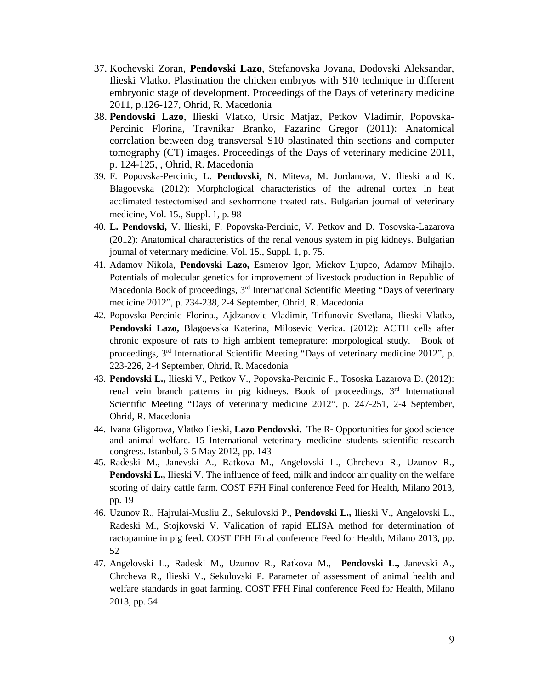- 37. Kochevski Zoran, **Pendovski Lazo**, Stefanovska Jovana, Dodovski Aleksandar, Ilieski Vlatko. Plastination the chicken embryos with S10 technique in different embryonic stage of development. Proceedings of the Days of veterinary medicine 2011, p.126-127, Ohrid, R. Macedonia
- 38. **Pendovski Lazo**, Ilieski Vlatko, Ursic Matjaz, Petkov Vladimir, Popovska-Percinic Florina, Travnikar Branko, Fazarinc Gregor (2011): Anatomical correlation between dog transversal S10 plastinated thin sections and computer tomography (CT) images. Proceedings of the Days of veterinary medicine 2011, p. 124-125, , Ohrid, R. Macedonia
- 39. F. Popovska-Percinic, **L. Pendovski,** N. Miteva, M. Jordanova, V. Ilieski and K. Blagoevska (2012): Morphological characteristics of the adrenal cortex in heat acclimated testectomised and sexhormone treated rats. Bulgarian journal of veterinary medicine, Vol. 15., Suppl. 1, p. 98
- 40. **L. Pendovski,** V. Ilieski, F. Popovska-Percinic, V. Petkov and D. Tosovska-Lazarova (2012): Anatomical characteristics of the renal venous system in pig kidneys. Bulgarian journal of veterinary medicine, Vol. 15., Suppl. 1, p. 75.
- 41. Adamov Nikola, **Pendovski Lazo,** Esmerov Igor, Mickov Ljupco, Adamov Mihajlo. Potentials of molecular genetics for improvement of livestock production in Republic of Macedonia Book of proceedings, 3<sup>rd</sup> International Scientific Meeting "Days of veterinary medicine 2012", p. 234-238, 2-4 September, Ohrid, R. Macedonia
- 42. Popovska-Percinic Florina., Ajdzanovic Vladimir, Trifunovic Svetlana, Ilieski Vlatko, **Pendovski Lazo,** Blagoevska Katerina, Milosevic Verica. (2012): ACTH cells after chronic exposure of rats to high ambient temeprature: morpological study. Book of proceedings, 3<sup>rd</sup> International Scientific Meeting "Days of veterinary medicine 2012", p. 223-226, 2-4 September, Ohrid, R. Macedonia
- 43. **Pendovski L.,** Ilieski V., Petkov V., Popovska-Percinic F., Tososka Lazarova D. (2012): renal vein branch patterns in pig kidneys. Book of proceedings, 3rd International Scientific Meeting "Days of veterinary medicine 2012", p. 247-251, 2-4 September, Ohrid, R. Macedonia
- 44. Ivana Gligorova, Vlatko Ilieski, **Lazo Pendovski**. The R- Opportunities for good science and animal welfare. 15 International veterinary medicine students scientific research congress. Istanbul, 3-5 May 2012, pp. 143
- 45. Radeski M., Janevski A., Ratkova M., Angelovski L., Chrcheva R., Uzunov R., **Pendovski L.,** Ilieski V. The influence of feed, milk and indoor air quality on the welfare scoring of dairy cattle farm. COST FFH Final conference Feed for Health, Milano 2013, pp. 19
- 46. Uzunov R., Hajrulai-Musliu Z., Sekulovski P., **Pendovski L.,** Ilieski V., Angelovski L., Radeski M., Stojkovski V. Validation of rapid ELISA method for determination of ractopamine in pig feed. COST FFH Final conference Feed for Health, Milano 2013, pp. 52
- 47. Angelovski L., Radeski M., Uzunov R., Ratkova M., **Pendovski L.,** Janevski A., Chrcheva R., Ilieski V., Sekulovski P. Parameter of assessment of animal health and welfare standards in goat farming. COST FFH Final conference Feed for Health, Milano 2013, pp. 54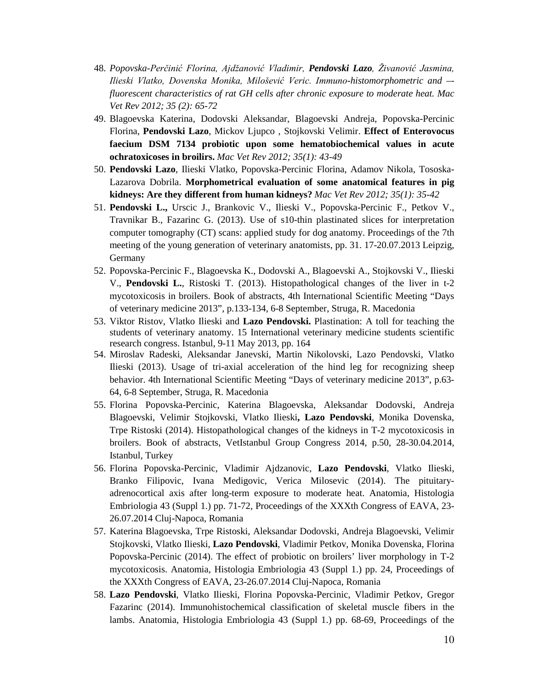- 48. *Popovska-Perčinić Florina, Ajdžanović Vladimir, Pendovski Lazo, Živanović Jasmina, Ilieski Vlatko, Dovenska Monika, Milošević Veric. Immuno-histomorphometric and – fluorescent characteristics of rat GH cells after chronic exposure to moderate heat. Mac Vet Rev 2012; 35 (2): 65-72*
- 49. Blagoevska Katerina, Dodovski Aleksandar, Blagoevski Andreja, Popovska-Percinic Florina, **Pendovski Lazo**, Mickov Ljupco , Stojkovski Velimir. **Effect of Enterovocus faecium DSM 7134 probiotic upon some hematobiochemical values in acute ochratoxicoses in broilirs.** *Mac Vet Rev 2012; 35(1): 43-49*
- 50. **Pendovski Lazo**, Ilieski Vlatko, Popovska-Percinic Florina, Adamov Nikola, Tososka-Lazarova Dobrila. **Morphometrical evaluation of some anatomical features in pig kidneys: Are they different from human kidneys?** *Mac Vet Rev 2012; 35(1): 35-42*
- 51. **Pendovski L.,** Urscic J., Brankovic V., Ilieski V., Popovska-Percinic F., Petkov V., Travnikar B., Fazarinc G. (2013). Use of s10-thin plastinated slices for interpretation computer tomography (CT) scans: applied study for dog anatomy. Proceedings of the 7th meeting of the young generation of veterinary anatomists, pp. 31. 17-20.07.2013 Leipzig, Germany
- 52. Popovska-Percinic F., Blagoevska K., Dodovski A., Blagoevski A., Stojkovski V., Ilieski V., **Pendovski L.**, Ristoski T. (2013). Histopathological changes of the liver in t-2 mycotoxicosis in broilers. Book of abstracts, 4th International Scientific Meeting "Days of veterinary medicine 2013", p.133-134, 6-8 September, Struga, R. Macedonia
- 53. Viktor Ristov, Vlatko Ilieski and **Lazo Pendovski.** Plastination: A toll for teaching the students of veterinary anatomy. 15 International veterinary medicine students scientific research congress. Istanbul, 9-11 May 2013, pp. 164
- 54. Miroslav Radeski, Aleksandar Janevski, Martin Nikolovski, Lazo Pendovski, Vlatko Ilieski (2013). Usage of tri-axial acceleration of the hind leg for recognizing sheep behavior. 4th International Scientific Meeting "Days of veterinary medicine 2013", p.63- 64, 6-8 September, Struga, R. Macedonia
- 55. Florina Popovska-Percinic, Katerina Blagoevska, Aleksandar Dodovski, Andreja Blagoevski, Velimir Stojkovski, Vlatko Ilieski**, Lazo Pendovski**, Monika Dovenska, Trpe Ristoski (2014). Histopathological changes of the kidneys in T-2 mycotoxicosis in broilers. Book of abstracts, VetIstanbul Group Congress 2014, p.50, 28-30.04.2014, Istanbul, Turkey
- 56. Florina Popovska-Percinic, Vladimir Ajdzanovic, **Lazo Pendovski**, Vlatko Ilieski, Branko Filipovic, Ivana Medigovic, Verica Milosevic (2014). The pituitaryadrenocortical axis after long-term exposure to moderate heat. Anatomia, Histologia Embriologia 43 (Suppl 1.) pp. 71-72, Proceedings of the XXXth Congress of EAVA, 23- 26.07.2014 Cluj-Napoca, Romania
- 57. Katerina Blagoevska, Trpe Ristoski, Aleksandar Dodovski, Andreja Blagoevski, Velimir Stojkovski, Vlatko Ilieski, **Lazo Pendovski**, Vladimir Petkov, Monika Dovenska, Florina Popovska-Percinic (2014). The effect of probiotic on broilers' liver morphology in T-2 mycotoxicosis. Anatomia, Histologia Embriologia 43 (Suppl 1.) pp. 24, Proceedings of the XXXth Congress of EAVA, 23-26.07.2014 Cluj-Napoca, Romania
- 58. **Lazo Pendovski**, Vlatko Ilieski, Florina Popovska-Percinic, Vladimir Petkov, Gregor Fazarinc (2014). Immunohistochemical classification of skeletal muscle fibers in the lambs. Anatomia, Histologia Embriologia 43 (Suppl 1.) pp. 68-69, Proceedings of the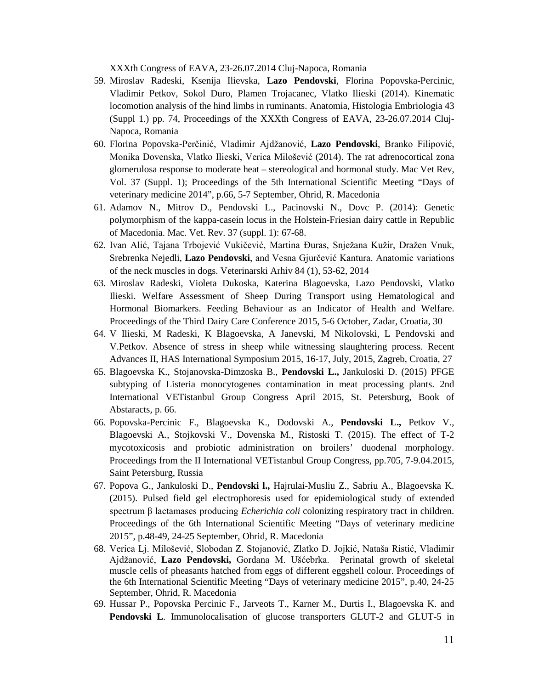XXXth Congress of EAVA, 23-26.07.2014 Cluj-Napoca, Romania

- 59. Miroslav Radeski, Ksenija Ilievska, **Lazo Pendovski**, Florina Popovska-Percinic, Vladimir Petkov, Sokol Duro, Plamen Trojacanec, Vlatko Ilieski (2014). Kinematic locomotion analysis of the hind limbs in ruminants. Anatomia, Histologia Embriologia 43 (Suppl 1.) pp. 74, Proceedings of the XXXth Congress of EAVA, 23-26.07.2014 Cluj-Napoca, Romania
- 60. Florina Popovska-Perčinić, Vladimir Ajdžanović, **Lazo Pendovski**, Branko Filipović, Monika Dovenska, Vlatko Ilieski, Verica Milošević (2014). The rat adrenocortical zona glomerulosa response to moderate heat – stereological and hormonal study. Mac Vet Rev, Vol. 37 (Suppl. 1); Proceedings of the 5th International Scientific Meeting "Days of veterinary medicine 2014", p.66, 5-7 September, Ohrid, R. Macedonia
- 61. Adamov N., Mitrov D., Pendovski L., Pacinovski N., Dovc P. (2014): Genetic polymorphism of the kappa-casein locus in the Holstein-Friesian dairy cattle in Republic of Macedonia. Mac. Vet. Rev. 37 (suppl. 1): 67-68.
- 62. Ivan Alić, Tajana Trbojević Vukičević, Martina Đuras, Snježana Kužir, Dražen Vnuk, Srebrenka Nejedli, **Lazo Pendovski**, and Vesna Gjurčević Kantura. Anatomic variations of the neck muscles in dogs. Veterinarski Arhiv 84 (1), 53-62, 2014
- 63. Miroslav Radeski, Violeta Dukoska, Katerina Blagoevska, Lazo Pendovski, Vlatko Ilieski. Welfare Assessment of Sheep During Transport using Hematological and Hormonal Biomarkers. Feeding Behaviour as an Indicator of Health and Welfare. Proceedings of the Third Dairy Care Conference 2015, 5-6 October, Zadar, Croatia, 30
- 64. V Ilieski, M Radeski, K Blagoevska, A Janevski, M Nikolovski, L Pendovski and V.Petkov. Absence of stress in sheep while witnessing slaughtering process. Recent Advances II, HAS International Symposium 2015, 16-17, July, 2015, Zagreb, Croatia, 27
- 65. Blagoevska K., Stojanovska-Dimzoska B., **Pendovski L.,** Jankuloski D. (2015) PFGE subtyping of Listeria monocytogenes contamination in meat processing plants. 2nd International VETistanbul Group Congress April 2015, St. Petersburg, Book of Abstaracts, p. 66.
- 66. Popovska-Percinic F., Blagoevska K., Dodovski A., **Pendovski L.,** Petkov V., Blagoevski A., Stojkovski V., Dovenska M., Ristoski T. (2015). The effect of T-2 mycotoxicosis and probiotic administration on broilers' duodenal morphology. Proceedings from the II International VETistanbul Group Congress, pp.705, 7-9.04.2015, Saint Petersburg, Russia
- 67. Popova G., Jankuloski D., **Pendovski l.,** Hajrulai-Musliu Z., Sabriu A., Blagoevska K. (2015). Pulsed field gel electrophoresis used for epidemiological study of extended spectrum β lactamases producing *Echerichia coli* colonizing respiratory tract in children. Proceedings of the 6th International Scientific Meeting "Days of veterinary medicine 2015", p.48-49, 24-25 September, Ohrid, R. Macedonia
- 68. Verica Lj. Milošević, Slobodan Z. Stojanović, Zlatko D. Jojkić, Nataša Ristić, Vladimir Ajdžanović, **Lazo Pendovski,** Gordana M. Ušćebrka. Perinatal growth of skeletal muscle cells of pheasants hatched from eggs of different eggshell colour. Proceedings of the 6th International Scientific Meeting "Days of veterinary medicine 2015", p.40, 24-25 September, Ohrid, R. Macedonia
- 69. Hussar P., Popovska Percinic F., Jarveots T., Karner M., Durtis I., Blagoevska K. and **Pendovski L**. Immunolocalisation of glucose transporters GLUT-2 and GLUT-5 in